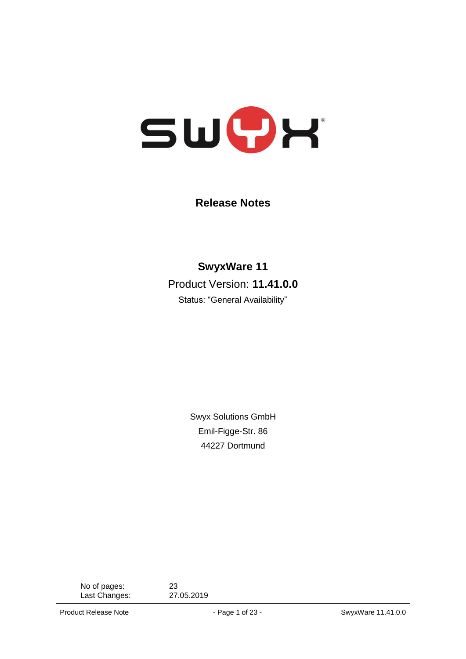

**Release Notes**

**SwyxWare 11** Product Version: **11.41.0.0**

Status: "General Availability"

Swyx Solutions GmbH Emil-Figge-Str. 86 44227 Dortmund

No of pages: 23<br>
Last Changes: 27.05.2019 Last Changes: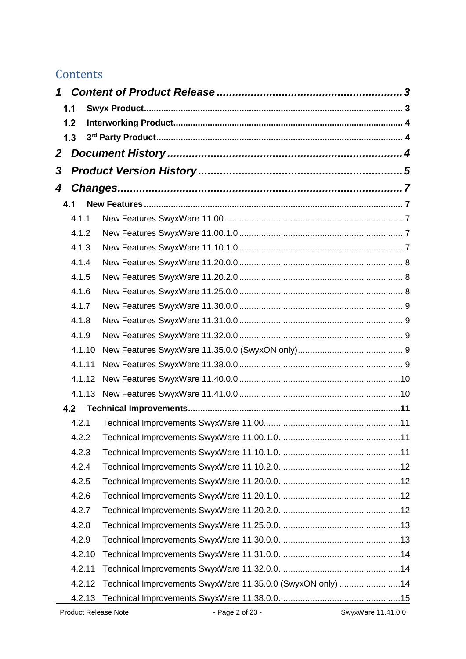# **Contents**

| 1 |        |                                                            |                    |  |  |  |  |
|---|--------|------------------------------------------------------------|--------------------|--|--|--|--|
|   | 1.1    |                                                            |                    |  |  |  |  |
|   | 1.2    |                                                            |                    |  |  |  |  |
|   | 1.3    |                                                            |                    |  |  |  |  |
| 2 |        |                                                            |                    |  |  |  |  |
| 3 |        |                                                            |                    |  |  |  |  |
| 4 |        |                                                            |                    |  |  |  |  |
|   | 4.1    |                                                            |                    |  |  |  |  |
|   | 4.1.1  |                                                            |                    |  |  |  |  |
|   | 4.1.2  |                                                            |                    |  |  |  |  |
|   | 4.1.3  |                                                            |                    |  |  |  |  |
|   | 4.1.4  |                                                            |                    |  |  |  |  |
|   | 4.1.5  |                                                            |                    |  |  |  |  |
|   | 4.1.6  |                                                            |                    |  |  |  |  |
|   | 4.1.7  |                                                            |                    |  |  |  |  |
|   | 4.1.8  |                                                            |                    |  |  |  |  |
|   | 4.1.9  |                                                            |                    |  |  |  |  |
|   | 4.1.10 |                                                            |                    |  |  |  |  |
|   | 4.1.11 |                                                            |                    |  |  |  |  |
|   | 4.1.12 |                                                            |                    |  |  |  |  |
|   | 4.1.13 |                                                            |                    |  |  |  |  |
|   | 4.2    |                                                            |                    |  |  |  |  |
|   | 4.2.1  |                                                            |                    |  |  |  |  |
|   | 4.2.2  |                                                            |                    |  |  |  |  |
|   | 4.2.3  |                                                            |                    |  |  |  |  |
|   | 4.2.4  |                                                            |                    |  |  |  |  |
|   | 4.2.5  |                                                            |                    |  |  |  |  |
|   | 4.2.6  |                                                            |                    |  |  |  |  |
|   | 4.2.7  |                                                            |                    |  |  |  |  |
|   | 4.2.8  |                                                            |                    |  |  |  |  |
|   | 4.2.9  |                                                            |                    |  |  |  |  |
|   | 4.2.10 |                                                            |                    |  |  |  |  |
|   | 4.2.11 |                                                            |                    |  |  |  |  |
|   | 4.2.12 | Technical Improvements SwyxWare 11.35.0.0 (SwyxON only) 14 |                    |  |  |  |  |
|   | 4.2.13 |                                                            |                    |  |  |  |  |
|   |        | Product Release Note<br>- Page 2 of 23 -                   | SwyxWare 11.41.0.0 |  |  |  |  |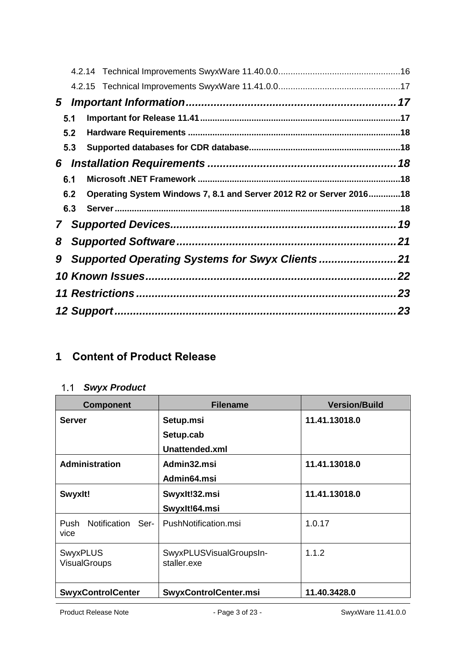| $5^{\circ}$ |     |                                                                     |  |
|-------------|-----|---------------------------------------------------------------------|--|
|             | 5.1 |                                                                     |  |
|             | 5.2 |                                                                     |  |
|             | 5.3 |                                                                     |  |
| 6           |     |                                                                     |  |
|             | 6.1 |                                                                     |  |
|             | 6.2 | Operating System Windows 7, 8.1 and Server 2012 R2 or Server 201618 |  |
|             | 6.3 |                                                                     |  |
| 7           |     |                                                                     |  |
| 8           |     |                                                                     |  |
| 9           |     |                                                                     |  |
|             |     |                                                                     |  |
|             |     |                                                                     |  |
|             |     |                                                                     |  |

# <span id="page-2-1"></span><span id="page-2-0"></span>**1 Content of Product Release**

## *Swyx Product*

| <b>Component</b>                       | <b>Filename</b>                        | <b>Version/Build</b> |
|----------------------------------------|----------------------------------------|----------------------|
| <b>Server</b>                          | Setup.msi                              | 11.41.13018.0        |
|                                        | Setup.cab                              |                      |
|                                        | Unattended.xml                         |                      |
| <b>Administration</b>                  | Admin32.msi                            | 11.41.13018.0        |
|                                        | Admin64.msi                            |                      |
| Swyxlt!                                | Swyxlt!32.msi                          | 11.41.13018.0        |
|                                        | Swyxlt!64.msi                          |                      |
| Notification<br>Push<br>Ser-<br>vice   | PushNotification.msi                   | 1.0.17               |
| <b>SwyxPLUS</b><br><b>VisualGroups</b> | SwyxPLUSVisualGroupsIn-<br>staller.exe | 1.1.2                |
| <b>SwyxControlCenter</b>               | SwyxControlCenter.msi                  | 11.40.3428.0         |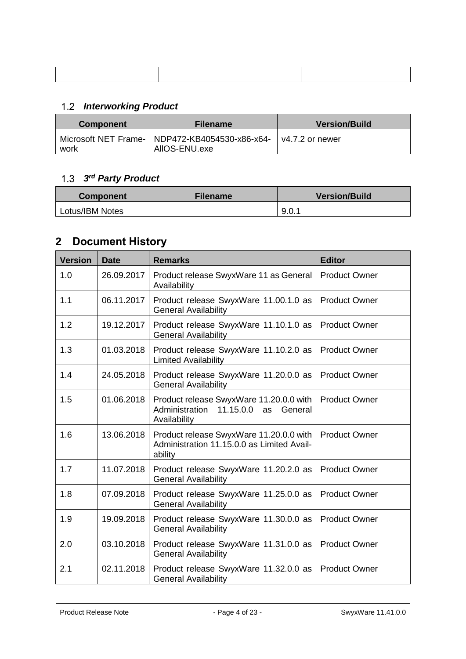# <span id="page-3-0"></span>*Interworking Product*

| <b>Component</b> | <b>Filename</b>                                                   | <b>Version/Build</b> |
|------------------|-------------------------------------------------------------------|----------------------|
| work             | Microsoft NET Frame-   NDP472-KB4054530-x86-x64-<br>AIIOS-ENU.exe | l v4.7.2 or newer    |

#### <span id="page-3-1"></span>*3 rd Party Product*

| <b>Component</b> | <b>Filename</b> | <b>Version/Build</b> |
|------------------|-----------------|----------------------|
| Lotus/IBM Notes  |                 | 9.0.1                |

# <span id="page-3-2"></span>**2 Document History**

| <b>Version</b> | <b>Date</b> | <b>Remarks</b>                                                                                       | <b>Editor</b>        |
|----------------|-------------|------------------------------------------------------------------------------------------------------|----------------------|
| 1.0            | 26.09.2017  | Product release SwyxWare 11 as General<br>Availability                                               | <b>Product Owner</b> |
| 1.1            | 06.11.2017  | Product release SwyxWare 11.00.1.0 as<br><b>General Availability</b>                                 | <b>Product Owner</b> |
| 1.2            | 19.12.2017  | Product release SwyxWare 11.10.1.0 as<br><b>General Availability</b>                                 | <b>Product Owner</b> |
| 1.3            | 01.03.2018  | Product release SwyxWare 11.10.2.0 as<br><b>Limited Availability</b>                                 | <b>Product Owner</b> |
| 1.4            | 24.05.2018  | Product release SwyxWare 11.20.0.0 as<br><b>General Availability</b>                                 | <b>Product Owner</b> |
| 1.5            | 01.06.2018  | Product release SwyxWare 11.20.0.0 with<br>Administration 11.15.0.0<br>General<br>as<br>Availability | <b>Product Owner</b> |
| 1.6            | 13.06.2018  | Product release SwyxWare 11.20.0.0 with<br>Administration 11.15.0.0 as Limited Avail-<br>ability     | <b>Product Owner</b> |
| 1.7            | 11.07.2018  | Product release SwyxWare 11.20.2.0 as<br><b>General Availability</b>                                 | <b>Product Owner</b> |
| 1.8            | 07.09.2018  | Product release SwyxWare 11.25.0.0 as<br><b>General Availability</b>                                 | <b>Product Owner</b> |
| 1.9            | 19.09.2018  | Product release SwyxWare 11.30.0.0 as<br><b>General Availability</b>                                 | <b>Product Owner</b> |
| 2.0            | 03.10.2018  | Product release SwyxWare 11.31.0.0 as<br><b>General Availability</b>                                 | <b>Product Owner</b> |
| 2.1            | 02.11.2018  | Product release SwyxWare 11.32.0.0 as<br><b>General Availability</b>                                 | <b>Product Owner</b> |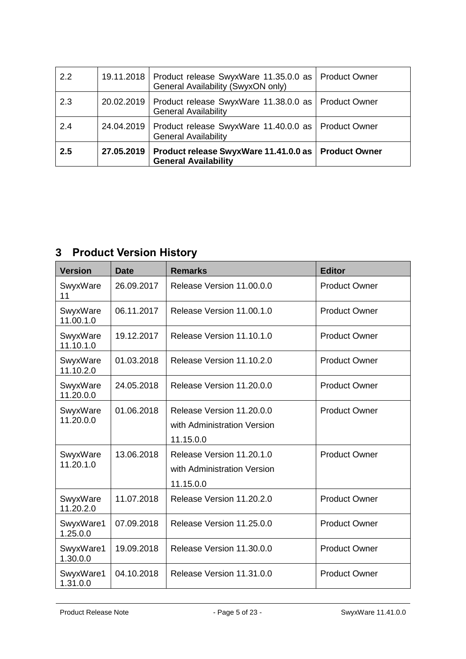| 2.2 |            | 19.11.2018   Product release SwyxWare 11.35.0.0 as   Product Owner<br>General Availability (SwyxON only) |  |
|-----|------------|----------------------------------------------------------------------------------------------------------|--|
| 2.3 |            | 20.02.2019   Product release SwyxWare 11.38.0.0 as   Product Owner<br><b>General Availability</b>        |  |
| 2.4 |            | 24.04.2019   Product release SwyxWare 11.40.0.0 as   Product Owner<br><b>General Availability</b>        |  |
| 2.5 | 27.05.2019 | Product release SwyxWare 11.41.0.0 as   Product Owner<br><b>General Availability</b>                     |  |

# <span id="page-4-0"></span>**3 Product Version History**

| <b>Version</b>        | <b>Date</b> | <b>Remarks</b>                                                        | <b>Editor</b>        |
|-----------------------|-------------|-----------------------------------------------------------------------|----------------------|
| SwyxWare<br>11        | 26.09.2017  | Release Version 11,00,0,0                                             | <b>Product Owner</b> |
| SwyxWare<br>11.00.1.0 | 06.11.2017  | Release Version 11,00.1.0                                             | <b>Product Owner</b> |
| SwyxWare<br>11.10.1.0 | 19.12.2017  | Release Version 11.10.1.0                                             | <b>Product Owner</b> |
| SwyxWare<br>11.10.2.0 | 01.03.2018  | Release Version 11.10.2.0                                             | <b>Product Owner</b> |
| SwyxWare<br>11.20.0.0 | 24.05.2018  | Release Version 11,20.0.0                                             | <b>Product Owner</b> |
| SwyxWare<br>11.20.0.0 | 01.06.2018  | Release Version 11,20.0.0<br>with Administration Version<br>11.15.0.0 | <b>Product Owner</b> |
| SwyxWare<br>11.20.1.0 | 13.06.2018  | Release Version 11.20.1.0<br>with Administration Version<br>11.15.0.0 | <b>Product Owner</b> |
| SwyxWare<br>11.20.2.0 | 11.07.2018  | Release Version 11,20,2,0                                             | <b>Product Owner</b> |
| SwyxWare1<br>1.25.0.0 | 07.09.2018  | Release Version 11.25.0.0                                             | <b>Product Owner</b> |
| SwyxWare1<br>1.30.0.0 | 19.09.2018  | Release Version 11.30.0.0                                             | <b>Product Owner</b> |
| SwyxWare1<br>1.31.0.0 | 04.10.2018  | Release Version 11,31,0,0                                             | <b>Product Owner</b> |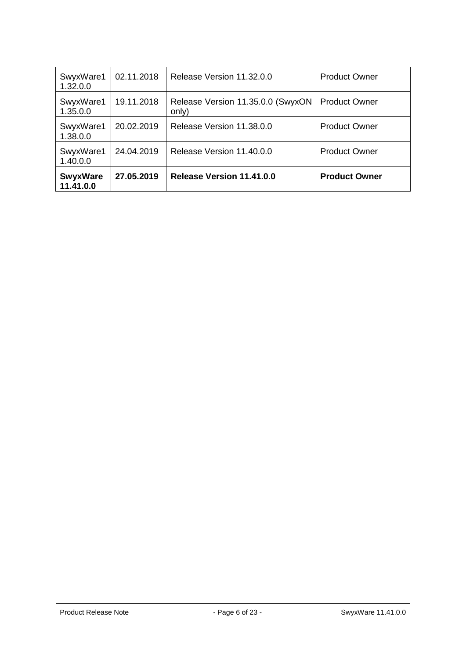| SwyxWare1<br>1.32.0.0        | 02.11.2018 | Release Version 11.32.0.0                  | <b>Product Owner</b> |
|------------------------------|------------|--------------------------------------------|----------------------|
| SwyxWare1<br>1.35.0.0        | 19.11.2018 | Release Version 11.35.0.0 (SwyxON<br>only) | <b>Product Owner</b> |
| SwyxWare1<br>1.38.0.0        | 20.02.2019 | Release Version 11,38,0,0                  | <b>Product Owner</b> |
| SwyxWare1<br>1.40.0.0        | 24.04.2019 | Release Version 11.40.0.0                  | <b>Product Owner</b> |
| <b>SwyxWare</b><br>11.41.0.0 | 27.05.2019 | Release Version 11.41.0.0                  | <b>Product Owner</b> |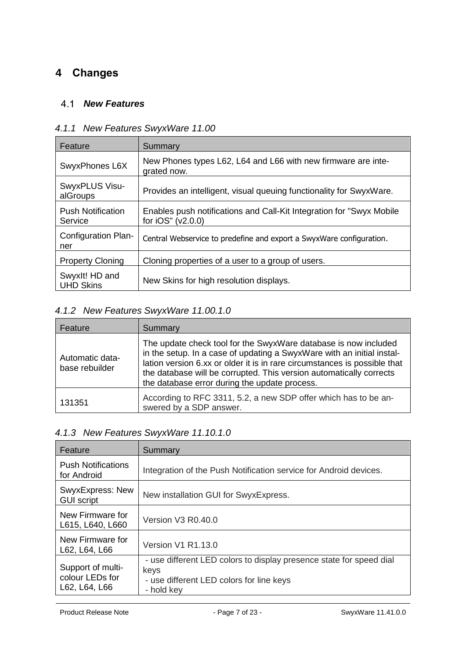# <span id="page-6-1"></span><span id="page-6-0"></span>**4 Changes**

#### *New Features*

| Feature                             | Summary                                                                                      |
|-------------------------------------|----------------------------------------------------------------------------------------------|
| SwyxPhones L6X                      | New Phones types L62, L64 and L66 with new firmware are inte-<br>grated now.                 |
| SwyxPLUS Visu-<br>alGroups          | Provides an intelligent, visual queuing functionality for SwyxWare.                          |
| <b>Push Notification</b><br>Service | Enables push notifications and Call-Kit Integration for "Swyx Mobile"<br>for $iOS''(v2.0.0)$ |
| Configuration Plan-<br>ner          | Central Webservice to predefine and export a SwyxWare configuration.                         |
| <b>Property Cloning</b>             | Cloning properties of a user to a group of users.                                            |
| Swyxlt! HD and<br><b>UHD Skins</b>  | New Skins for high resolution displays.                                                      |

# <span id="page-6-2"></span>*4.1.1 New Features SwyxWare 11.00*

## <span id="page-6-3"></span>*4.1.2 New Features SwyxWare 11.00.1.0*

| Feature                           | Summary                                                                                                                                                                                                                                                                                                                                        |
|-----------------------------------|------------------------------------------------------------------------------------------------------------------------------------------------------------------------------------------------------------------------------------------------------------------------------------------------------------------------------------------------|
| Automatic data-<br>base rebuilder | The update check tool for the SwyxWare database is now included<br>in the setup. In a case of updating a SwyxWare with an initial instal-<br>lation version 6.xx or older it is in rare circumstances is possible that<br>the database will be corrupted. This version automatically corrects<br>the database error during the update process. |
| 131351                            | According to RFC 3311, 5.2, a new SDP offer which has to be an-<br>swered by a SDP answer.                                                                                                                                                                                                                                                     |

### <span id="page-6-4"></span>*4.1.3 New Features SwyxWare 11.10.1.0*

| Feature                                               | Summary                                                                                                                               |
|-------------------------------------------------------|---------------------------------------------------------------------------------------------------------------------------------------|
| <b>Push Notifications</b><br>for Android              | Integration of the Push Notification service for Android devices.                                                                     |
| SwyxExpress: New<br><b>GUI script</b>                 | New installation GUI for SwyxExpress.                                                                                                 |
| New Firmware for<br>L615, L640, L660                  | Version V3 R0.40.0                                                                                                                    |
| New Firmware for<br>L62, L64, L66                     | <b>Version V1 R1.13.0</b>                                                                                                             |
| Support of multi-<br>colour LEDs for<br>L62, L64, L66 | - use different LED colors to display presence state for speed dial<br>keys<br>- use different LED colors for line keys<br>- hold kev |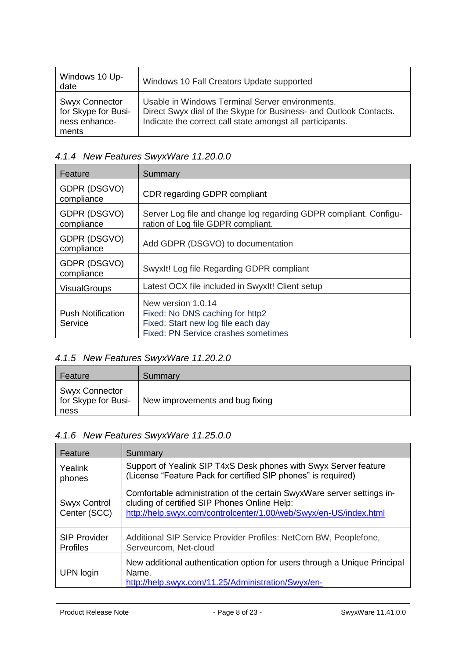| Windows 10 Up-<br>date                                                 | Windows 10 Fall Creators Update supported                                                                                                                                         |
|------------------------------------------------------------------------|-----------------------------------------------------------------------------------------------------------------------------------------------------------------------------------|
| <b>Swyx Connector</b><br>for Skype for Busi-<br>ness enhance-<br>ments | Usable in Windows Terminal Server environments.<br>Direct Swyx dial of the Skype for Business- and Outlook Contacts.<br>Indicate the correct call state amongst all participants. |

## <span id="page-7-0"></span>*4.1.4 New Features SwyxWare 11.20.0.0*

| Feature                             | Summary                                                                                                                            |
|-------------------------------------|------------------------------------------------------------------------------------------------------------------------------------|
| GDPR (DSGVO)<br>compliance          | <b>CDR regarding GDPR compliant</b>                                                                                                |
| GDPR (DSGVO)<br>compliance          | Server Log file and change log regarding GDPR compliant. Configu-<br>ration of Log file GDPR compliant.                            |
| GDPR (DSGVO)<br>compliance          | Add GDPR (DSGVO) to documentation                                                                                                  |
| GDPR (DSGVO)<br>compliance          | Swyxlt! Log file Regarding GDPR compliant                                                                                          |
| <b>VisualGroups</b>                 | Latest OCX file included in SwyxIt! Client setup                                                                                   |
| <b>Push Notification</b><br>Service | New version 1.0.14<br>Fixed: No DNS caching for http2<br>Fixed: Start new log file each day<br>Fixed: PN Service crashes sometimes |

# <span id="page-7-1"></span>*4.1.5 New Features SwyxWare 11.20.2.0*

| Feature                                              | Summary                         |
|------------------------------------------------------|---------------------------------|
| <b>Swyx Connector</b><br>for Skype for Busi-<br>ness | New improvements and bug fixing |

# <span id="page-7-2"></span>*4.1.6 New Features SwyxWare 11.25.0.0*

| Feature                                | Summary                                                                                                                                                                                     |
|----------------------------------------|---------------------------------------------------------------------------------------------------------------------------------------------------------------------------------------------|
| Yealink<br>phones                      | Support of Yealink SIP T4xS Desk phones with Swyx Server feature<br>(License "Feature Pack for certified SIP phones" is required)                                                           |
| Swyx Control<br>Center (SCC)           | Comfortable administration of the certain SwyxWare server settings in-<br>cluding of certified SIP Phones Online Help:<br>http://help.swyx.com/controlcenter/1.00/web/Swyx/en-US/index.html |
| <b>SIP Provider</b><br><b>Profiles</b> | Additional SIP Service Provider Profiles: NetCom BW, Peoplefone,<br>Serveurcom, Net-cloud                                                                                                   |
| UPN login                              | New additional authentication option for users through a Unique Principal<br>Name.<br>http://help.swyx.com/11.25/Administration/Swyx/en-                                                    |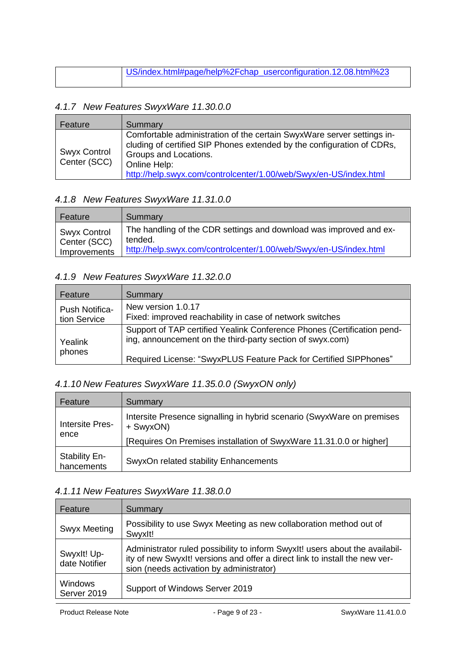| US/index.html#page/help%2Fchap_userconfiguration.12.08.html%23 |
|----------------------------------------------------------------|
|                                                                |

#### <span id="page-8-0"></span>*4.1.7 New Features SwyxWare 11.30.0.0*

| Feature                             | Summary                                                                                                                                                                                                                                                        |
|-------------------------------------|----------------------------------------------------------------------------------------------------------------------------------------------------------------------------------------------------------------------------------------------------------------|
| <b>Swyx Control</b><br>Center (SCC) | Comfortable administration of the certain SwyxWare server settings in-<br>cluding of certified SIP Phones extended by the configuration of CDRs,<br>Groups and Locations.<br>Online Help:<br>http://help.swyx.com/controlcenter/1.00/web/Swyx/en-US/index.html |

#### <span id="page-8-1"></span>*4.1.8 New Features SwyxWare 11.31.0.0*

| Feature                             | Summary                                                                       |
|-------------------------------------|-------------------------------------------------------------------------------|
| <b>Swyx Control</b><br>Center (SCC) | The handling of the CDR settings and download was improved and ex-<br>tended. |
| Improvements                        | http://help.swyx.com/controlcenter/1.00/web/Swyx/en-US/index.html             |

#### <span id="page-8-2"></span>*4.1.9 New Features SwyxWare 11.32.0.0*

| Feature                        | Summary                                                                                                                                                                                                   |
|--------------------------------|-----------------------------------------------------------------------------------------------------------------------------------------------------------------------------------------------------------|
| Push Notifica-<br>tion Service | New version 1.0.17<br>Fixed: improved reachability in case of network switches                                                                                                                            |
| Yealink<br>phones              | Support of TAP certified Yealink Conference Phones (Certification pend-<br>ing, announcement on the third-party section of swyx.com)<br>Required License: "SwyxPLUS Feature Pack for Certified SIPPhones" |

## <span id="page-8-3"></span>*4.1.10 New Features SwyxWare 11.35.0.0 (SwyxON only)*

| Feature                            | Summary                                                                             |
|------------------------------------|-------------------------------------------------------------------------------------|
| <b>Intersite Pres-</b><br>ence     | Intersite Presence signalling in hybrid scenario (SwyxWare on premises<br>+ SwyxON) |
|                                    | [Requires On Premises installation of SwyxWare 11.31.0.0 or higher]                 |
| <b>Stability En-</b><br>hancements | SwyxOn related stability Enhancements                                               |

#### <span id="page-8-4"></span>*4.1.11 New Features SwyxWare 11.38.0.0*

| Feature                      | Summary                                                                                                                                                                                                 |
|------------------------------|---------------------------------------------------------------------------------------------------------------------------------------------------------------------------------------------------------|
| <b>Swyx Meeting</b>          | Possibility to use Swyx Meeting as new collaboration method out of<br>Swyxlt!                                                                                                                           |
| Swyxlt! Up-<br>date Notifier | Administrator ruled possibility to inform SwyxIt! users about the availabil-<br>ity of new Swyxlt! versions and offer a direct link to install the new ver-<br>sion (needs activation by administrator) |
| Windows<br>Server 2019       | Support of Windows Server 2019                                                                                                                                                                          |

Product Release Note  $\overline{P}$  - Page 9 of 23 - SwyxWare 11.41.0.0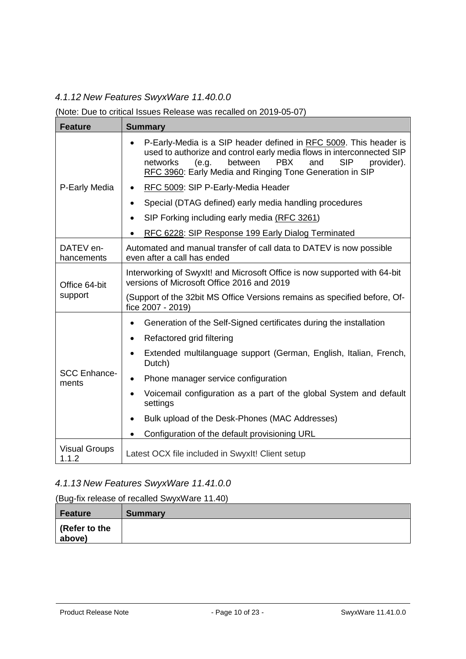### <span id="page-9-0"></span>*4.1.12 New Features SwyxWare 11.40.0.0*

#### (Note: Due to critical Issues Release was recalled on 2019-05-07)

| <b>Feature</b>                | <b>Summary</b>                                                                                                                                                                                                                                                                          |
|-------------------------------|-----------------------------------------------------------------------------------------------------------------------------------------------------------------------------------------------------------------------------------------------------------------------------------------|
| P-Early Media                 | P-Early-Media is a SIP header defined in RFC 5009. This header is<br>used to authorize and control early media flows in interconnected SIP<br>between<br><b>PBX</b><br>and<br><b>SIP</b><br>networks<br>(e.g.<br>provider).<br>RFC 3960: Early Media and Ringing Tone Generation in SIP |
|                               | RFC 5009: SIP P-Early-Media Header                                                                                                                                                                                                                                                      |
|                               | Special (DTAG defined) early media handling procedures<br>$\bullet$                                                                                                                                                                                                                     |
|                               | SIP Forking including early media (RFC 3261)<br>$\bullet$                                                                                                                                                                                                                               |
|                               | RFC 6228: SIP Response 199 Early Dialog Terminated                                                                                                                                                                                                                                      |
| DATEV en-<br>hancements       | Automated and manual transfer of call data to DATEV is now possible<br>even after a call has ended                                                                                                                                                                                      |
| Office 64-bit<br>support      | Interworking of SwyxIt! and Microsoft Office is now supported with 64-bit<br>versions of Microsoft Office 2016 and 2019                                                                                                                                                                 |
|                               | (Support of the 32bit MS Office Versions remains as specified before, Of-<br>fice 2007 - 2019)                                                                                                                                                                                          |
|                               | Generation of the Self-Signed certificates during the installation<br>$\bullet$                                                                                                                                                                                                         |
|                               | Refactored grid filtering<br>$\bullet$                                                                                                                                                                                                                                                  |
| <b>SCC Enhance-</b><br>ments  | Extended multilanguage support (German, English, Italian, French,<br>Dutch)                                                                                                                                                                                                             |
|                               | Phone manager service configuration<br>$\bullet$                                                                                                                                                                                                                                        |
|                               | Voicemail configuration as a part of the global System and default<br>settings                                                                                                                                                                                                          |
|                               | Bulk upload of the Desk-Phones (MAC Addresses)                                                                                                                                                                                                                                          |
|                               | Configuration of the default provisioning URL                                                                                                                                                                                                                                           |
| <b>Visual Groups</b><br>1.1.2 | Latest OCX file included in SwyxIt! Client setup                                                                                                                                                                                                                                        |

### <span id="page-9-1"></span>*4.1.13 New Features SwyxWare 11.41.0.0*

#### (Bug-fix release of recalled SwyxWare 11.40)

| Feature               | <b>Summary</b> |
|-----------------------|----------------|
| $\vert$ (Refer to the |                |
| above)                |                |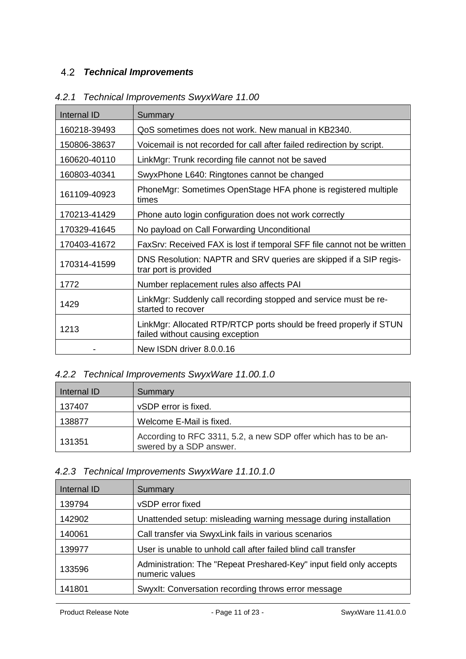### <span id="page-10-0"></span>*Technical Improvements*

| Internal ID  | Summary                                                                                                |
|--------------|--------------------------------------------------------------------------------------------------------|
| 160218-39493 | QoS sometimes does not work. New manual in KB2340.                                                     |
| 150806-38637 | Voicemail is not recorded for call after failed redirection by script.                                 |
| 160620-40110 | LinkMgr: Trunk recording file cannot not be saved                                                      |
| 160803-40341 | SwyxPhone L640: Ringtones cannot be changed                                                            |
| 161109-40923 | PhoneMgr: Sometimes OpenStage HFA phone is registered multiple<br>times                                |
| 170213-41429 | Phone auto login configuration does not work correctly                                                 |
| 170329-41645 | No payload on Call Forwarding Unconditional                                                            |
| 170403-41672 | FaxSrv: Received FAX is lost if temporal SFF file cannot not be written                                |
| 170314-41599 | DNS Resolution: NAPTR and SRV queries are skipped if a SIP regis-<br>trar port is provided             |
| 1772         | Number replacement rules also affects PAI                                                              |
| 1429         | LinkMgr: Suddenly call recording stopped and service must be re-<br>started to recover                 |
| 1213         | LinkMgr: Allocated RTP/RTCP ports should be freed properly if STUN<br>failed without causing exception |
|              | New ISDN driver 8.0.0.16                                                                               |

## <span id="page-10-1"></span>*4.2.1 Technical Improvements SwyxWare 11.00*

### <span id="page-10-2"></span>*4.2.2 Technical Improvements SwyxWare 11.00.1.0*

| Internal ID | Summary                                                                                    |
|-------------|--------------------------------------------------------------------------------------------|
| 137407      | vSDP error is fixed.                                                                       |
| 138877      | Welcome E-Mail is fixed.                                                                   |
| 131351      | According to RFC 3311, 5.2, a new SDP offer which has to be an-<br>swered by a SDP answer. |

## <span id="page-10-3"></span>*4.2.3 Technical Improvements SwyxWare 11.10.1.0*

| Internal ID | Summary                                                                               |
|-------------|---------------------------------------------------------------------------------------|
| 139794      | vSDP error fixed                                                                      |
| 142902      | Unattended setup: misleading warning message during installation                      |
| 140061      | Call transfer via SwyxLink fails in various scenarios                                 |
| 139977      | User is unable to unhold call after failed blind call transfer                        |
| 133596      | Administration: The "Repeat Preshared-Key" input field only accepts<br>numeric values |
| 141801      | Swyxlt: Conversation recording throws error message                                   |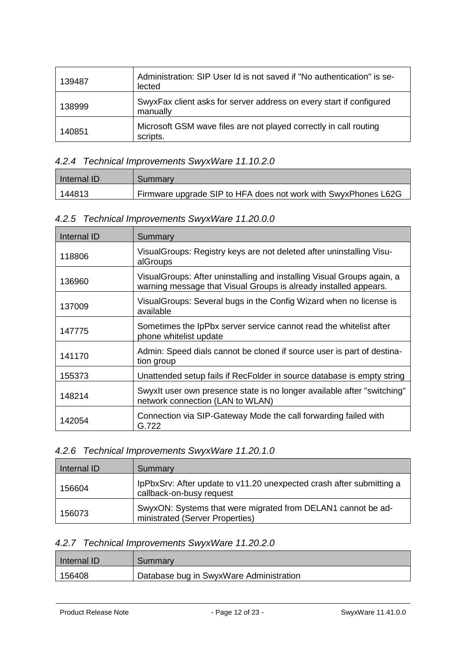| 139487 | Administration: SIP User Id is not saved if "No authentication" is se-<br>lected |
|--------|----------------------------------------------------------------------------------|
| 138999 | SwyxFax client asks for server address on every start if configured<br>manually  |
| 140851 | Microsoft GSM wave files are not played correctly in call routing<br>scripts.    |

### <span id="page-11-0"></span>*4.2.4 Technical Improvements SwyxWare 11.10.2.0*

| Internal ID | Summary                                                        |
|-------------|----------------------------------------------------------------|
| 144813      | Firmware upgrade SIP to HFA does not work with SwyxPhones L62G |

### <span id="page-11-1"></span>*4.2.5 Technical Improvements SwyxWare 11.20.0.0*

| Internal ID | Summary                                                                                                                                     |
|-------------|---------------------------------------------------------------------------------------------------------------------------------------------|
| 118806      | Visual Groups: Registry keys are not deleted after uninstalling Visu-<br>alGroups                                                           |
| 136960      | Visual Groups: After uninstalling and installing Visual Groups again, a<br>warning message that Visual Groups is already installed appears. |
| 137009      | Visual Groups: Several bugs in the Config Wizard when no license is<br>available                                                            |
| 147775      | Sometimes the IpPbx server service cannot read the whitelist after<br>phone whitelist update                                                |
| 141170      | Admin: Speed dials cannot be cloned if source user is part of destina-<br>tion group                                                        |
| 155373      | Unattended setup fails if RecFolder in source database is empty string                                                                      |
| 148214      | SwyxIt user own presence state is no longer available after "switching"<br>network connection (LAN to WLAN)                                 |
| 142054      | Connection via SIP-Gateway Mode the call forwarding failed with<br>G.722                                                                    |

#### <span id="page-11-2"></span>*4.2.6 Technical Improvements SwyxWare 11.20.1.0*

| Internal ID | Summary                                                                                          |
|-------------|--------------------------------------------------------------------------------------------------|
| 156604      | IpPbxSrv: After update to v11.20 unexpected crash after submitting a<br>callback-on-busy request |
| 156073      | SwyxON: Systems that were migrated from DELAN1 cannot be ad-<br>ministrated (Server Properties)  |

### <span id="page-11-3"></span>*4.2.7 Technical Improvements SwyxWare 11.20.2.0*

| Internal ID | Summary                                 |
|-------------|-----------------------------------------|
| 156408      | Database bug in SwyxWare Administration |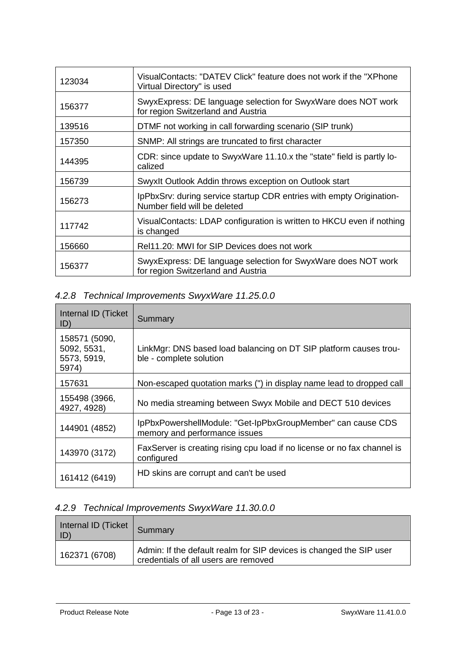| 123034 | VisualContacts: "DATEV Click" feature does not work if the "XPhone"<br>Virtual Directory" is used    |
|--------|------------------------------------------------------------------------------------------------------|
| 156377 | SwyxExpress: DE language selection for SwyxWare does NOT work<br>for region Switzerland and Austria  |
| 139516 | DTMF not working in call forwarding scenario (SIP trunk)                                             |
| 157350 | SNMP: All strings are truncated to first character                                                   |
| 144395 | CDR: since update to SwyxWare 11.10.x the "state" field is partly lo-<br>calized                     |
| 156739 | Swyxlt Outlook Addin throws exception on Outlook start                                               |
| 156273 | IpPbxSrv: during service startup CDR entries with empty Origination-<br>Number field will be deleted |
| 117742 | VisualContacts: LDAP configuration is written to HKCU even if nothing<br>is changed                  |
| 156660 | Rel11.20: MWI for SIP Devices does not work                                                          |
| 156377 | SwyxExpress: DE language selection for SwyxWare does NOT work<br>for region Switzerland and Austria  |

## <span id="page-12-0"></span>*4.2.8 Technical Improvements SwyxWare 11.25.0.0*

| Internal ID (Ticket<br>ID)                           | Summary                                                                                      |
|------------------------------------------------------|----------------------------------------------------------------------------------------------|
| 158571 (5090,<br>5092, 5531,<br>5573, 5919,<br>5974) | LinkMgr: DNS based load balancing on DT SIP platform causes trou-<br>ble - complete solution |
| 157631                                               | Non-escaped quotation marks (") in display name lead to dropped call                         |
| 155498 (3966,<br>4927, 4928)                         | No media streaming between Swyx Mobile and DECT 510 devices                                  |
| 144901 (4852)                                        | IpPbxPowershellModule: "Get-IpPbxGroupMember" can cause CDS<br>memory and performance issues |
| 143970 (3172)                                        | FaxServer is creating rising cpu load if no license or no fax channel is<br>configured       |
| 161412 (6419)                                        | HD skins are corrupt and can't be used                                                       |

## <span id="page-12-1"></span>*4.2.9 Technical Improvements SwyxWare 11.30.0.0*

| Internal ID (Ticket   Summary<br>ID) |                                                                                                             |
|--------------------------------------|-------------------------------------------------------------------------------------------------------------|
| 162371 (6708)                        | Admin: If the default realm for SIP devices is changed the SIP user<br>credentials of all users are removed |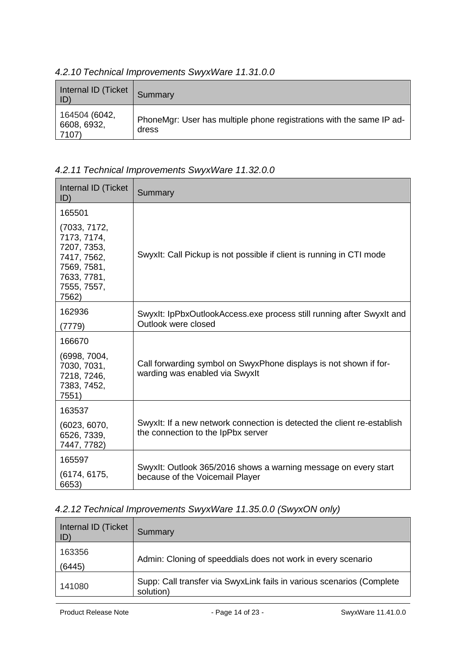| Internal ID (Ticket<br>ID)            | Summary                                                                       |
|---------------------------------------|-------------------------------------------------------------------------------|
| 164504 (6042,<br>6608, 6932,<br>7107) | PhoneMgr: User has multiple phone registrations with the same IP ad-<br>dress |

### <span id="page-13-0"></span>*4.2.10 Technical Improvements SwyxWare 11.31.0.0*

## <span id="page-13-1"></span>*4.2.11 Technical Improvements SwyxWare 11.32.0.0*

| Internal ID (Ticket<br>ID)                                                                                      | Summary                                                                                                       |
|-----------------------------------------------------------------------------------------------------------------|---------------------------------------------------------------------------------------------------------------|
| 165501                                                                                                          |                                                                                                               |
| (7033, 7172,<br>7173, 7174,<br>7207, 7353,<br>7417, 7562,<br>7569, 7581,<br>7633, 7781,<br>7555, 7557,<br>7562) | Swyxlt: Call Pickup is not possible if client is running in CTI mode                                          |
| 162936<br>(7779)                                                                                                | Swyxlt: IpPbxOutlookAccess.exe process still running after Swyxlt and<br>Outlook were closed                  |
| 166670                                                                                                          |                                                                                                               |
| (6998, 7004,<br>7030, 7031,<br>7218, 7246,<br>7383, 7452,<br>7551)                                              | Call forwarding symbol on SwyxPhone displays is not shown if for-<br>warding was enabled via Swyxlt           |
| 163537                                                                                                          |                                                                                                               |
| (6023, 6070,<br>6526, 7339,<br>7447, 7782)                                                                      | Swyxlt: If a new network connection is detected the client re-establish<br>the connection to the IpPbx server |
| 165597<br>(6174, 6175,<br>6653)                                                                                 | Swyxlt: Outlook 365/2016 shows a warning message on every start<br>because of the Voicemail Player            |

# <span id="page-13-2"></span>*4.2.12 Technical Improvements SwyxWare 11.35.0.0 (SwyxON only)*

| Internal ID (Ticket<br>ID) | Summary                                                                            |  |
|----------------------------|------------------------------------------------------------------------------------|--|
| 163356                     | Admin: Cloning of speeddials does not work in every scenario                       |  |
| (6445)                     |                                                                                    |  |
| 141080                     | Supp: Call transfer via SwyxLink fails in various scenarios (Complete<br>solution) |  |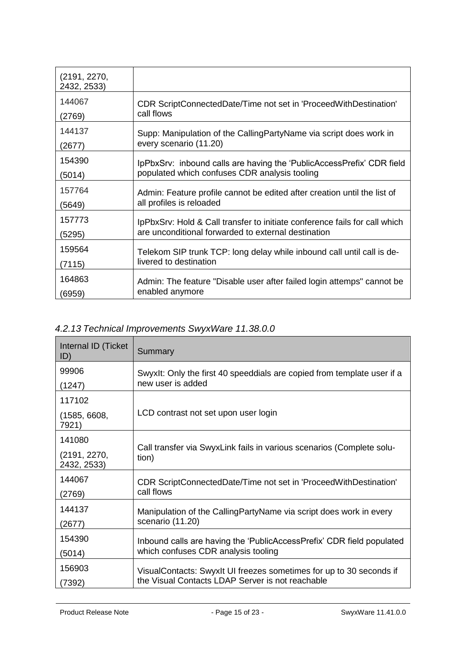| (2191, 2270,<br>2432, 2533) |                                                                            |
|-----------------------------|----------------------------------------------------------------------------|
| 144067                      | CDR ScriptConnectedDate/Time not set in 'ProceedWithDestination'           |
| (2769)                      | call flows                                                                 |
| 144137                      | Supp: Manipulation of the CallingPartyName via script does work in         |
| (2677)                      | every scenario (11.20)                                                     |
| 154390                      | IpPbxSrv: inbound calls are having the 'PublicAccessPrefix' CDR field      |
| (5014)                      | populated which confuses CDR analysis tooling                              |
| 157764                      | Admin: Feature profile cannot be edited after creation until the list of   |
| (5649)                      | all profiles is reloaded                                                   |
| 157773                      | IpPbxSrv: Hold & Call transfer to initiate conference fails for call which |
| (5295)                      | are unconditional forwarded to external destination                        |
| 159564                      | Telekom SIP trunk TCP: long delay while inbound call until call is de-     |
| (7115)                      | livered to destination                                                     |
| 164863                      | Admin: The feature "Disable user after failed login attemps" cannot be     |
| (6959)                      | enabled anymore                                                            |

# <span id="page-14-0"></span>*4.2.13 Technical Improvements SwyxWare 11.38.0.0*

| Internal ID (Ticket<br>ID)  | Summary                                                                                                                  |  |
|-----------------------------|--------------------------------------------------------------------------------------------------------------------------|--|
| 99906                       | SwyxIt: Only the first 40 speeddials are copied from template user if a                                                  |  |
| (1247)                      | new user is added                                                                                                        |  |
| 117102                      |                                                                                                                          |  |
| (1585, 6608,<br>7921)       | LCD contrast not set upon user login                                                                                     |  |
| 141080                      | Call transfer via SwyxLink fails in various scenarios (Complete solu-<br>tion)                                           |  |
| (2191, 2270,<br>2432, 2533) |                                                                                                                          |  |
| 144067<br>(2769)            | CDR ScriptConnectedDate/Time not set in 'ProceedWithDestination'<br>call flows                                           |  |
| 144137<br>(2677)            | Manipulation of the CallingPartyName via script does work in every<br>scenario (11.20)                                   |  |
| 154390<br>(5014)            | Inbound calls are having the 'PublicAccessPrefix' CDR field populated<br>which confuses CDR analysis tooling             |  |
| 156903<br>(7392)            | Visual Contacts: Swyxlt UI freezes sometimes for up to 30 seconds if<br>the Visual Contacts LDAP Server is not reachable |  |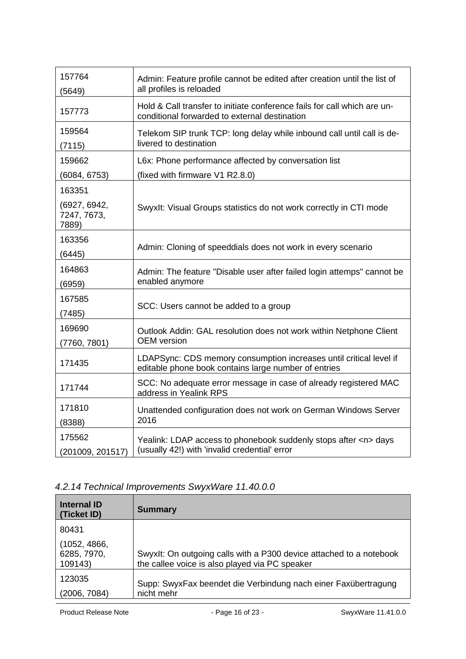| 157764<br>(5649)                               | Admin: Feature profile cannot be edited after creation until the list of<br>all profiles is reloaded                       |  |
|------------------------------------------------|----------------------------------------------------------------------------------------------------------------------------|--|
| 157773                                         | Hold & Call transfer to initiate conference fails for call which are un-<br>conditional forwarded to external destination  |  |
| 159564<br>(7115)                               | Telekom SIP trunk TCP: long delay while inbound call until call is de-<br>livered to destination                           |  |
| 159662                                         | L6x: Phone performance affected by conversation list                                                                       |  |
| (6084, 6753)                                   | (fixed with firmware V1 R2.8.0)                                                                                            |  |
| 163351<br>(6927, 6942,<br>7247, 7673,<br>7889) | Swyxlt: Visual Groups statistics do not work correctly in CTI mode                                                         |  |
| 163356<br>(6445)                               | Admin: Cloning of speeddials does not work in every scenario                                                               |  |
| 164863<br>(6959)                               | Admin: The feature "Disable user after failed login attemps" cannot be<br>enabled anymore                                  |  |
| 167585<br>(7485)                               | SCC: Users cannot be added to a group                                                                                      |  |
| 169690<br>(7760, 7801)                         | Outlook Addin: GAL resolution does not work within Netphone Client<br><b>OEM</b> version                                   |  |
| 171435                                         | LDAPSync: CDS memory consumption increases until critical level if<br>editable phone book contains large number of entries |  |
| 171744                                         | SCC: No adequate error message in case of already registered MAC<br>address in Yealink RPS                                 |  |
| 171810<br>(8388)                               | Unattended configuration does not work on German Windows Server<br>2016                                                    |  |
| 175562<br>(201009, 201517)                     | Yealink: LDAP access to phonebook suddenly stops after <n> days<br/>(usually 42!) with 'invalid credential' error</n>      |  |

# <span id="page-15-0"></span>*4.2.14 Technical Improvements SwyxWare 11.40.0.0*

| <b>Internal ID</b><br>(Ticket ID)      | <b>Summary</b>                                                                                                        |
|----------------------------------------|-----------------------------------------------------------------------------------------------------------------------|
| 80431                                  |                                                                                                                       |
| (1052, 4866,<br>6285, 7970,<br>109143) | Swyxlt: On outgoing calls with a P300 device attached to a notebook<br>the callee voice is also played via PC speaker |
| 123035<br>(2006, 7084)                 | Supp: SwyxFax beendet die Verbindung nach einer Faxübertragung<br>nicht mehr                                          |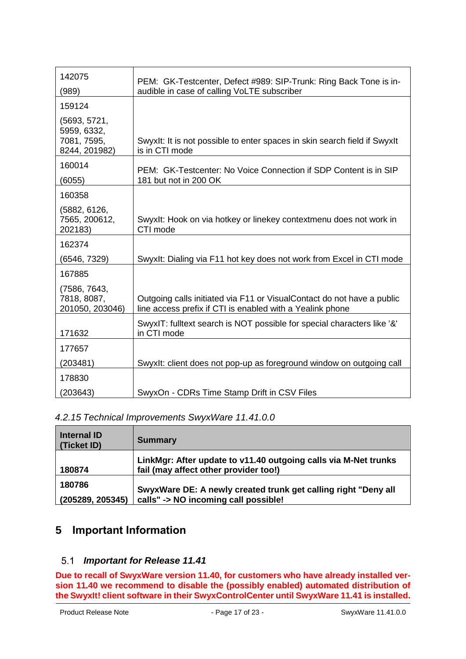| 142075                                     | PEM: GK-Testcenter, Defect #989: SIP-Trunk: Ring Back Tone is in-                                                                   |  |
|--------------------------------------------|-------------------------------------------------------------------------------------------------------------------------------------|--|
| (989)                                      | audible in case of calling VoLTE subscriber                                                                                         |  |
| 159124                                     |                                                                                                                                     |  |
| (5693, 5721,<br>5959, 6332,<br>7081, 7595, | Swyxlt: It is not possible to enter spaces in skin search field if Swyxlt                                                           |  |
| 8244, 201982)                              | is in CTI mode                                                                                                                      |  |
| 160014                                     | PEM: GK-Testcenter: No Voice Connection if SDP Content is in SIP                                                                    |  |
| (6055)                                     | 181 but not in 200 OK                                                                                                               |  |
| 160358                                     |                                                                                                                                     |  |
| (5882, 6126,<br>7565, 200612,<br>202183)   | Swyxlt: Hook on via hotkey or linekey contextmenu does not work in<br>CTI mode                                                      |  |
| 162374                                     |                                                                                                                                     |  |
| (6546, 7329)                               | Swyxlt: Dialing via F11 hot key does not work from Excel in CTI mode                                                                |  |
| 167885<br>(7586, 7643,                     |                                                                                                                                     |  |
| 7818, 8087,<br>201050, 203046)             | Outgoing calls initiated via F11 or VisualContact do not have a public<br>line access prefix if CTI is enabled with a Yealink phone |  |
| 171632                                     | SwyxIT: fulltext search is NOT possible for special characters like '&'<br>in CTI mode                                              |  |
| 177657                                     |                                                                                                                                     |  |
| (203481)                                   | Swyxlt: client does not pop-up as foreground window on outgoing call                                                                |  |
| 178830                                     |                                                                                                                                     |  |
| (203643)                                   | SwyxOn - CDRs Time Stamp Drift in CSV Files                                                                                         |  |

<span id="page-16-0"></span>*4.2.15 Technical Improvements SwyxWare 11.41.0.0*

| <b>Internal ID</b><br>(Ticket ID) | <b>Summary</b>                                                                                           |
|-----------------------------------|----------------------------------------------------------------------------------------------------------|
| 180874                            | LinkMgr: After update to v11.40 outgoing calls via M-Net trunks<br>fail (may affect other provider too!) |
| 180786<br>(205289, 205345)        | SwyxWare DE: A newly created trunk get calling right "Deny all<br>calls" -> NO incoming call possible!   |

# <span id="page-16-2"></span><span id="page-16-1"></span>**5 Important Information**

### *Important for Release 11.41*

**Due to recall of SwyxWare version 11.40, for customers who have already installed version 11.40 we recommend to disable the (possibly enabled) automated distribution of the SwyxIt! client software in their SwyxControlCenter until SwyxWare 11.41 is installed.**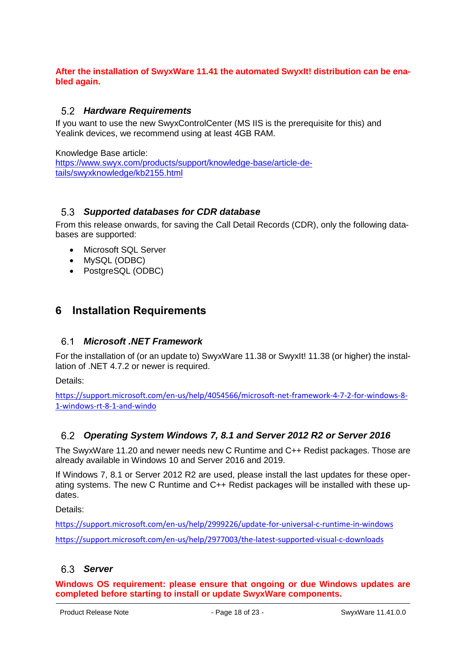#### **After the installation of SwyxWare 11.41 the automated SwyxIt! distribution can be enabled again.**

#### <span id="page-17-0"></span>*Hardware Requirements*

If you want to use the new SwyxControlCenter (MS IIS is the prerequisite for this) and Yealink devices, we recommend using at least 4GB RAM.

Knowledge Base article:

[https://www.swyx.com/products/support/knowledge-base/article-de](https://www.swyx.com/products/support/knowledge-base/article-details/swyxknowledge/kb2155.html)[tails/swyxknowledge/kb2155.html](https://www.swyx.com/products/support/knowledge-base/article-details/swyxknowledge/kb2155.html)

#### <span id="page-17-1"></span>*Supported databases for CDR database*

From this release onwards, for saving the Call Detail Records (CDR), only the following databases are supported:

- Microsoft SQL Server
- MySQL (ODBC)
- PostgreSQL (ODBC)

## <span id="page-17-3"></span><span id="page-17-2"></span>**6 Installation Requirements**

#### *Microsoft .NET Framework* 6.1

For the installation of (or an update to) SwyxWare 11.38 or SwyxIt! 11.38 (or higher) the installation of .NET 4.7.2 or newer is required.

Details:

[https://support.microsoft.com/en-us/help/4054566/microsoft-net-framework-4-7-2-for-windows-8-](https://support.microsoft.com/en-us/help/4054566/microsoft-net-framework-4-7-2-for-windows-8-1-windows-rt-8-1-and-windo) [1-windows-rt-8-1-and-windo](https://support.microsoft.com/en-us/help/4054566/microsoft-net-framework-4-7-2-for-windows-8-1-windows-rt-8-1-and-windo)

#### <span id="page-17-4"></span>*Operating System Windows 7, 8.1 and Server 2012 R2 or Server 2016*

The SwyxWare 11.20 and newer needs new C Runtime and C++ Redist packages. Those are already available in Windows 10 and Server 2016 and 2019.

If Windows 7, 8.1 or Server 2012 R2 are used, please install the last updates for these operating systems. The new C Runtime and C++ Redist packages will be installed with these updates.

Details:

<https://support.microsoft.com/en-us/help/2999226/update-for-universal-c-runtime-in-windows> https://support.microsoft.com/en-us/help/2977003/the-latest-supported-visual-c-downloads

#### <span id="page-17-5"></span>*Server*

**Windows OS requirement: please ensure that ongoing or due Windows updates are completed before starting to install or update SwyxWare components.**

Product Release Note  $\sim$  - Page 18 of 23 - SwyxWare 11.41.0.0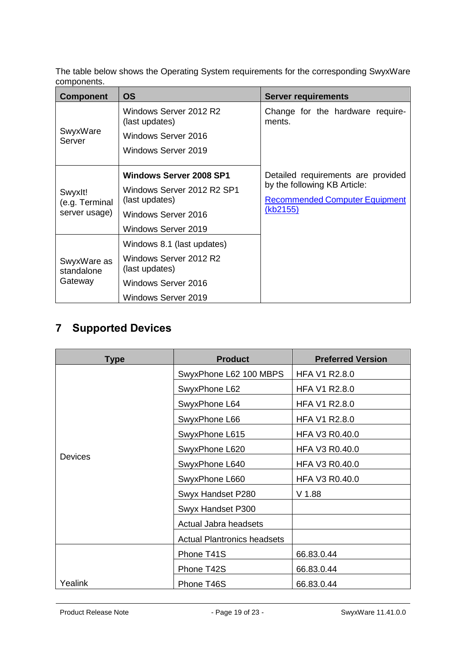The table below shows the Operating System requirements for the corresponding SwyxWare components.

| <b>Component</b>                           | <b>OS</b>                                                                                                                    | <b>Server requirements</b>                                                                                              |
|--------------------------------------------|------------------------------------------------------------------------------------------------------------------------------|-------------------------------------------------------------------------------------------------------------------------|
| SwyxWare<br>Server                         | Windows Server 2012 R2<br>(last updates)<br>Windows Server 2016<br>Windows Server 2019                                       | Change for the hardware require-<br>ments.                                                                              |
| Swyxlt!<br>(e.g. Terminal<br>server usage) | <b>Windows Server 2008 SP1</b><br>Windows Server 2012 R2 SP1<br>(last updates)<br>Windows Server 2016<br>Windows Server 2019 | Detailed requirements are provided<br>by the following KB Article:<br><b>Recommended Computer Equipment</b><br>(kb2155) |
| SwyxWare as<br>standalone<br>Gateway       | Windows 8.1 (last updates)<br>Windows Server 2012 R2<br>(last updates)<br>Windows Server 2016<br>Windows Server 2019         |                                                                                                                         |

# <span id="page-18-0"></span>**7 Supported Devices**

| Type           | <b>Product</b>                     | <b>Preferred Version</b> |
|----------------|------------------------------------|--------------------------|
|                | SwyxPhone L62 100 MBPS             | <b>HFA V1 R2.8.0</b>     |
|                | SwyxPhone L62                      | <b>HFA V1 R2.8.0</b>     |
|                | SwyxPhone L64                      | <b>HFA V1 R2.8.0</b>     |
|                | SwyxPhone L66                      | <b>HFA V1 R2.8.0</b>     |
|                | SwyxPhone L615                     | <b>HFA V3 R0.40.0</b>    |
|                | SwyxPhone L620                     | HFA V3 R0.40.0           |
| <b>Devices</b> | SwyxPhone L640                     | <b>HFA V3 R0.40.0</b>    |
|                | SwyxPhone L660                     | <b>HFA V3 R0.40.0</b>    |
|                | Swyx Handset P280                  | $V$ 1.88                 |
|                | Swyx Handset P300                  |                          |
|                | Actual Jabra headsets              |                          |
|                | <b>Actual Plantronics headsets</b> |                          |
|                | Phone T41S                         | 66.83.0.44               |
|                | Phone T42S                         | 66.83.0.44               |
| Yealink        | Phone T46S                         | 66.83.0.44               |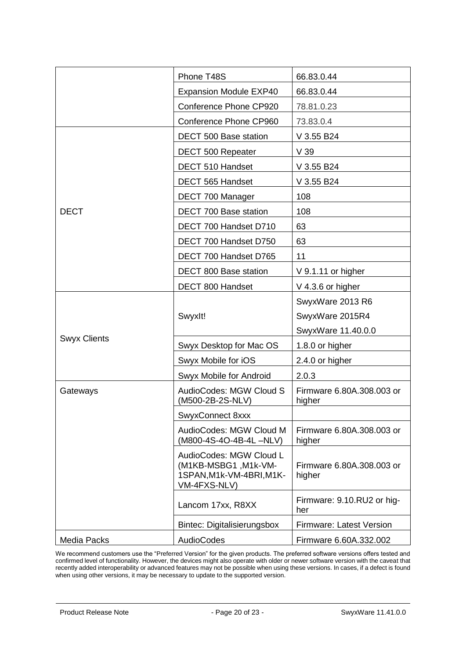|                     | Phone T48S                                                                                  | 66.83.0.44                          |
|---------------------|---------------------------------------------------------------------------------------------|-------------------------------------|
|                     | <b>Expansion Module EXP40</b>                                                               | 66.83.0.44                          |
|                     | Conference Phone CP920                                                                      | 78.81.0.23                          |
|                     | Conference Phone CP960                                                                      | 73.83.0.4                           |
|                     | DECT 500 Base station                                                                       | V 3.55 B24                          |
|                     | DECT 500 Repeater                                                                           | V <sub>39</sub>                     |
|                     | DECT 510 Handset                                                                            | V 3.55 B24                          |
|                     | DECT 565 Handset                                                                            | V 3.55 B24                          |
|                     | DECT 700 Manager                                                                            | 108                                 |
| <b>DECT</b>         | DECT 700 Base station                                                                       | 108                                 |
|                     | DECT 700 Handset D710                                                                       | 63                                  |
|                     | DECT 700 Handset D750                                                                       | 63                                  |
|                     | DECT 700 Handset D765                                                                       | 11                                  |
|                     | DECT 800 Base station                                                                       | V 9.1.11 or higher                  |
|                     | DECT 800 Handset                                                                            | $V$ 4.3.6 or higher                 |
|                     |                                                                                             | SwyxWare 2013 R6                    |
|                     | Swyxlt!                                                                                     | SwyxWare 2015R4                     |
|                     |                                                                                             | SwyxWare 11.40.0.0                  |
| <b>Swyx Clients</b> | Swyx Desktop for Mac OS                                                                     | 1.8.0 or higher                     |
|                     | Swyx Mobile for iOS                                                                         | 2.4.0 or higher                     |
|                     | Swyx Mobile for Android                                                                     | 2.0.3                               |
| Gateways            | AudioCodes: MGW Cloud S<br>(M500-2B-2S-NLV)                                                 | Firmware 6.80A.308.003 or<br>higher |
|                     | SwyxConnect 8xxx                                                                            |                                     |
|                     | AudioCodes: MGW Cloud M<br>(M800-4S-4O-4B-4L-NLV)                                           | Firmware 6.80A.308.003 or<br>higher |
|                     | AudioCodes: MGW Cloud L<br>(M1KB-MSBG1, M1k-VM-<br>1SPAN, M1k-VM-4BRI, M1K-<br>VM-4FXS-NLV) | Firmware 6.80A.308.003 or<br>higher |
|                     | Lancom 17xx, R8XX                                                                           | Firmware: 9.10.RU2 or hig-<br>her   |
|                     | <b>Bintec: Digitalisierungsbox</b>                                                          | <b>Firmware: Latest Version</b>     |
| Media Packs         | AudioCodes                                                                                  | Firmware 6.60A.332.002              |

We recommend customers use the "Preferred Version" for the given products. The preferred software versions offers tested and confirmed level of functionality. However, the devices might also operate with older or newer software version with the caveat that recently added interoperability or advanced features may not be possible when using these versions. In cases, if a defect is found when using other versions, it may be necessary to update to the supported version.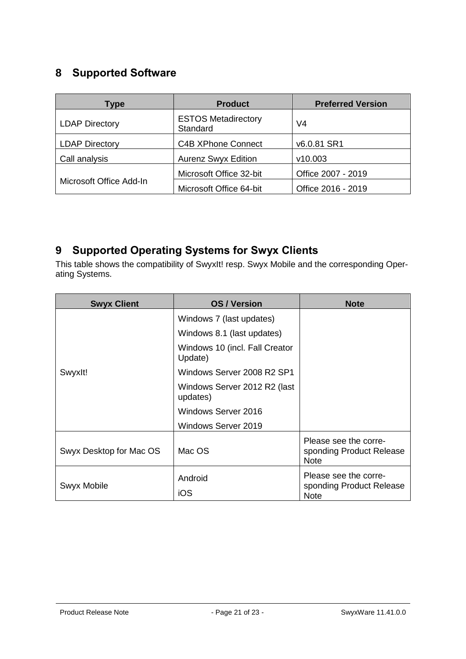# <span id="page-20-0"></span>**8 Supported Software**

| <b>Type</b>             | <b>Product</b>                         | <b>Preferred Version</b> |
|-------------------------|----------------------------------------|--------------------------|
| <b>LDAP Directory</b>   | <b>ESTOS Metadirectory</b><br>Standard | V4                       |
| <b>LDAP Directory</b>   | <b>C4B XPhone Connect</b>              | v6.0.81 SR1              |
| Call analysis           | <b>Aurenz Swyx Edition</b>             | v10.003                  |
| Microsoft Office Add-In | Microsoft Office 32-bit                | Office 2007 - 2019       |
|                         | Microsoft Office 64-bit                | Office 2016 - 2019       |

# <span id="page-20-1"></span>**9 Supported Operating Systems for Swyx Clients**

This table shows the compatibility of SwyxIt! resp. Swyx Mobile and the corresponding Operating Systems.

| <b>Swyx Client</b>      | <b>OS / Version</b>                       | <b>Note</b>                                                      |
|-------------------------|-------------------------------------------|------------------------------------------------------------------|
| Swyxlt!                 | Windows 7 (last updates)                  |                                                                  |
|                         | Windows 8.1 (last updates)                |                                                                  |
|                         | Windows 10 (incl. Fall Creator<br>Update) |                                                                  |
|                         | Windows Server 2008 R2 SP1                |                                                                  |
|                         | Windows Server 2012 R2 (last<br>updates)  |                                                                  |
|                         | Windows Server 2016                       |                                                                  |
|                         | Windows Server 2019                       |                                                                  |
| Swyx Desktop for Mac OS | Mac OS                                    | Please see the corre-<br>sponding Product Release<br><b>Note</b> |
| Swyx Mobile             | Android                                   | Please see the corre-<br>sponding Product Release                |
|                         | iOS                                       | <b>Note</b>                                                      |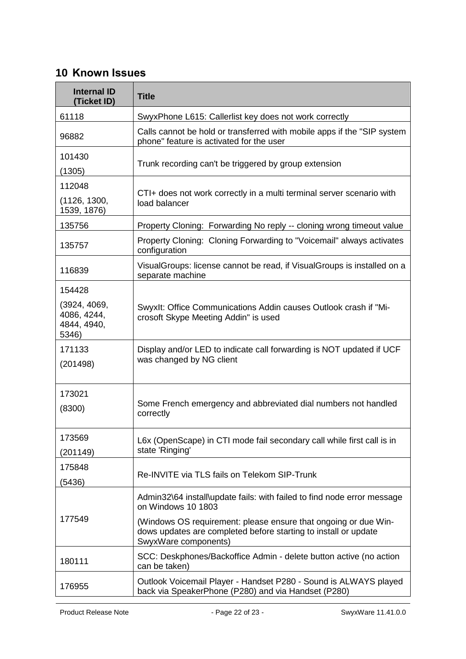# <span id="page-21-0"></span>**10 Known Issues**

| <b>Internal ID</b><br>(Ticket ID)                   | <b>Title</b>                                                                                                                                               |  |
|-----------------------------------------------------|------------------------------------------------------------------------------------------------------------------------------------------------------------|--|
| 61118                                               | SwyxPhone L615: Callerlist key does not work correctly                                                                                                     |  |
| 96882                                               | Calls cannot be hold or transferred with mobile apps if the "SIP system<br>phone" feature is activated for the user                                        |  |
| 101430<br>(1305)                                    | Trunk recording can't be triggered by group extension                                                                                                      |  |
| 112048<br>(1126, 1300,<br>1539, 1876)               | CTI+ does not work correctly in a multi terminal server scenario with<br>load balancer                                                                     |  |
| 135756                                              | Property Cloning: Forwarding No reply -- cloning wrong timeout value                                                                                       |  |
| 135757                                              | Property Cloning: Cloning Forwarding to "Voicemail" always activates<br>configuration                                                                      |  |
| 116839                                              | VisualGroups: license cannot be read, if VisualGroups is installed on a<br>separate machine                                                                |  |
| 154428                                              |                                                                                                                                                            |  |
| (3924, 4069,<br>4086, 4244,<br>4844, 4940,<br>5346) | Swyxlt: Office Communications Addin causes Outlook crash if "Mi-<br>crosoft Skype Meeting Addin" is used                                                   |  |
| 171133<br>(201498)                                  | Display and/or LED to indicate call forwarding is NOT updated if UCF<br>was changed by NG client                                                           |  |
| 173021<br>(8300)                                    | Some French emergency and abbreviated dial numbers not handled<br>correctly                                                                                |  |
| 173569<br>(201149)                                  | L6x (OpenScape) in CTI mode fail secondary call while first call is in<br>state 'Ringing'                                                                  |  |
| 175848<br>(5436)                                    | Re-INVITE via TLS fails on Telekom SIP-Trunk                                                                                                               |  |
| 177549                                              | Admin32\64 install\update fails: with failed to find node error message<br>on Windows 10 1803                                                              |  |
|                                                     | (Windows OS requirement: please ensure that ongoing or due Win-<br>dows updates are completed before starting to install or update<br>SwyxWare components) |  |
| 180111                                              | SCC: Deskphones/Backoffice Admin - delete button active (no action<br>can be taken)                                                                        |  |
| 176955                                              | Outlook Voicemail Player - Handset P280 - Sound is ALWAYS played<br>back via SpeakerPhone (P280) and via Handset (P280)                                    |  |